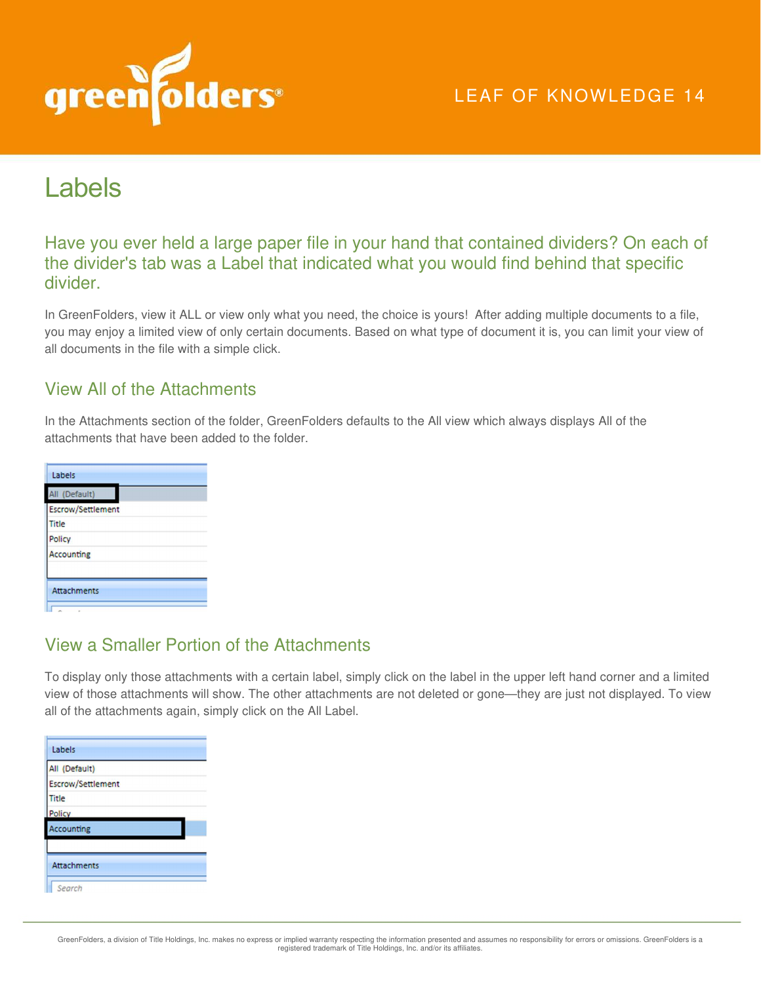

# Labels

Have you ever held a large paper file in your hand that contained dividers? On each of the divider's tab was a Label that indicated what you would find behind that specific divider.

In GreenFolders, view it ALL or view only what you need, the choice is yours! After adding multiple documents to a file, you may enjoy a limited view of only certain documents. Based on what type of document it is, you can limit your view of all documents in the file with a simple click.

#### View All of the Attachments

In the Attachments section of the folder, GreenFolders defaults to the All view which always displays All of the attachments that have been added to the folder.

| Labels             |
|--------------------|
| All (Default)      |
| Escrow/Settlement  |
| <b>Title</b>       |
| Policy             |
| <b>Accounting</b>  |
|                    |
| <b>Attachments</b> |
|                    |

#### View a Smaller Portion of the Attachments

To display only those attachments with a certain label, simply click on the label in the upper left hand corner and a limited view of those attachments will show. The other attachments are not deleted or gone—they are just not displayed. To view all of the attachments again, simply click on the All Label.

| Labels                   |  |
|--------------------------|--|
| All (Default)            |  |
| <b>Escrow/Settlement</b> |  |
| Title                    |  |
| Policy                   |  |
| <b>Accounting</b>        |  |
|                          |  |
| <b>Attachments</b>       |  |
| Search                   |  |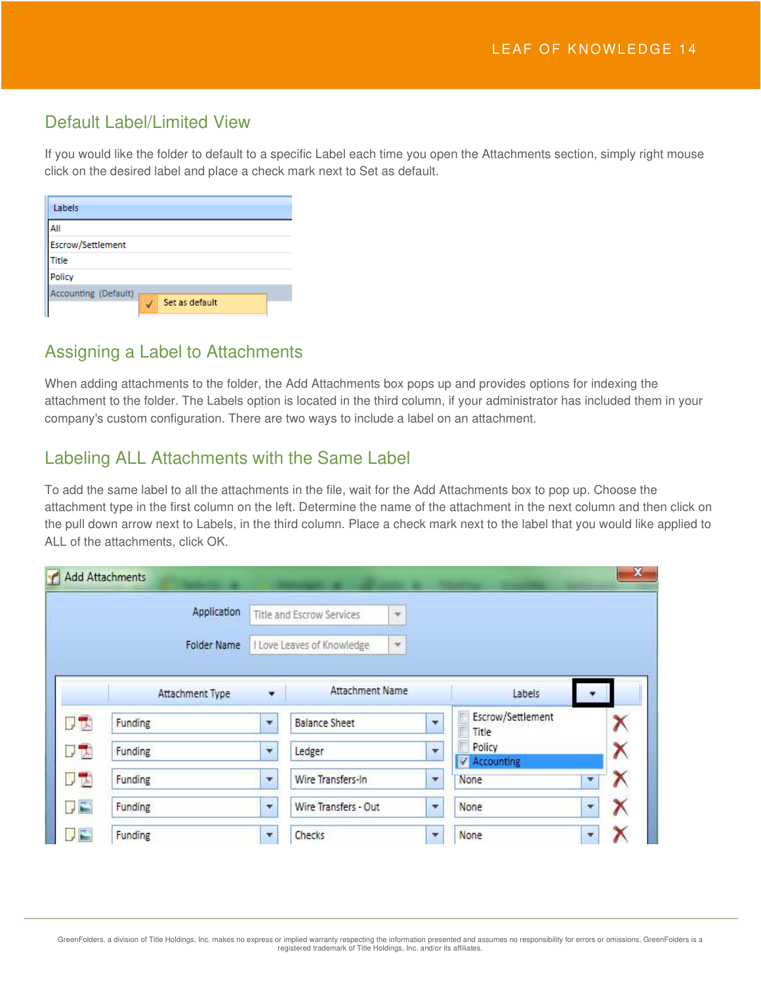### Default Label/Limited View

If you would like the folder to default to a specific Label each time you open the Attachments section, simply right mouse click on the desired label and place a check mark next to Set as default.

| Labels               |                |
|----------------------|----------------|
| All                  |                |
| Escrow/Settlement    |                |
| Title                |                |
| Policy               |                |
| Accounting (Default) | Set as default |

#### Assigning a Label to Attachments

When adding attachments to the folder, the Add Attachments box pops up and provides options for indexing the attachment to the folder. The Labels option is located in the third column, if your administrator has included them in your company's custom configuration. There are two ways to include a label on an attachment.

# Labeling ALL Attachments with the Same Label

To add the same label to all the attachments in the file, wait for the Add Attachments box to pop up. Choose the attachment type in the first column on the left. Determine the name of the attachment in the next column and then click on the pull down arrow next to Labels, in the third column. Place a check mark next to the label that you would like applied to ALL of the attachments, click OK.

|      | Application        |                            | Title and Escrow Services | $\overline{\mathbf{w}}$ |                         |                            |   |   |
|------|--------------------|----------------------------|---------------------------|-------------------------|-------------------------|----------------------------|---|---|
|      | <b>Folder Name</b> | I Love Leaves of Knowledge |                           | $\mathbf{w}$            |                         |                            |   |   |
|      | Attachment Type    | ٠                          | Attachment Name           |                         |                         | Labels                     |   |   |
| 「大   | Funding            | ۳                          | <b>Balance Sheet</b>      |                         | $\mathbf{r}$            | Escrow/Settlement<br>Title |   |   |
| リス   | Funding            | ۰                          | Ledger                    |                         | $\overline{\mathbf{v}}$ | Policy<br>V Accounting     |   | Х |
| リサ   | Funding            |                            | Wire Transfers-In         | $\mathcal{F}$           |                         | None                       | ۳ |   |
| T, E | Funding            | ÷                          | Wire Transfers - Out      |                         | $\overline{\mathbf{v}}$ | None                       | ۷ | Х |